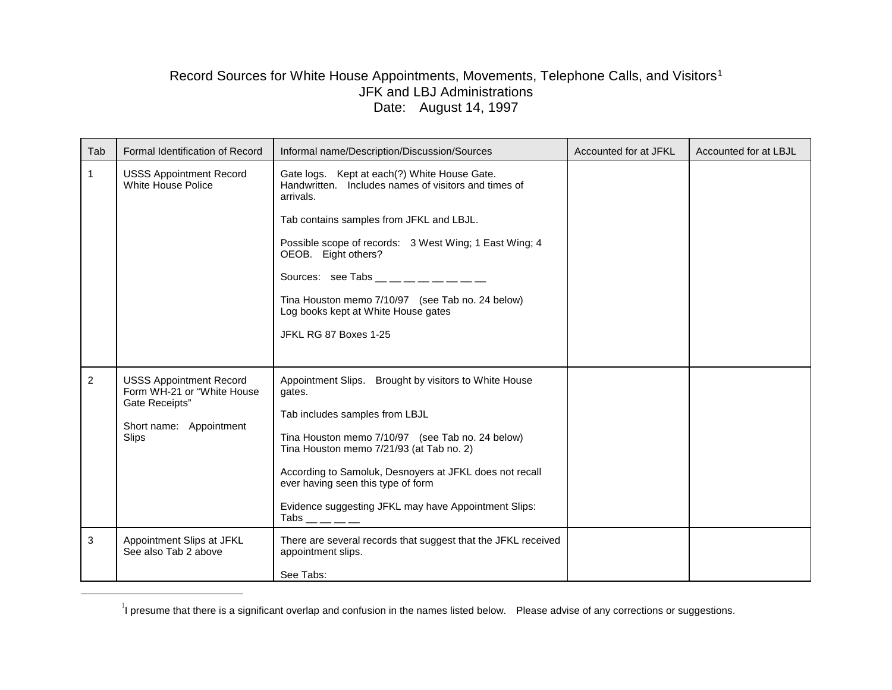## <span id="page-0-0"></span>Record Sources for White House Appointments, Movements, Telephone Calls, and Visitors[1](#page-0-0) JFK and LBJ Administrations Date: August 14, 1997

| Tab | Formal Identification of Record                                                                                    | Informal name/Description/Discussion/Sources                                                                                                                                                                                                                                                                                                                                                                                             | Accounted for at JFKL | Accounted for at LBJL |
|-----|--------------------------------------------------------------------------------------------------------------------|------------------------------------------------------------------------------------------------------------------------------------------------------------------------------------------------------------------------------------------------------------------------------------------------------------------------------------------------------------------------------------------------------------------------------------------|-----------------------|-----------------------|
| 1.  | <b>USSS Appointment Record</b><br>White House Police                                                               | Gate logs. Kept at each(?) White House Gate.<br>Handwritten. Includes names of visitors and times of<br>arrivals.<br>Tab contains samples from JFKL and LBJL.<br>Possible scope of records: 3 West Wing; 1 East Wing; 4<br>OEOB. Eight others?<br>Sources: see Tabs $\_\_$ $\_\_$ $\_\_$ $\_\_$ $\_\_$ $\_\_$ $\_\_$<br>Tina Houston memo 7/10/97 (see Tab no. 24 below)<br>Log books kept at White House gates<br>JFKL RG 87 Boxes 1-25 |                       |                       |
| 2   | <b>USSS Appointment Record</b><br>Form WH-21 or "White House<br>Gate Receipts"<br>Short name: Appointment<br>Slips | Appointment Slips. Brought by visitors to White House<br>gates.<br>Tab includes samples from LBJL<br>Tina Houston memo 7/10/97 (see Tab no. 24 below)<br>Tina Houston memo 7/21/93 (at Tab no. 2)<br>According to Samoluk, Desnoyers at JFKL does not recall<br>ever having seen this type of form<br>Evidence suggesting JFKL may have Appointment Slips:<br>$\mathsf{Tabs}_{\_\_\_\_\_\_\_\_\_\_\_\_\_\_\_\_\_\_\_\_\_\_\_\_\_$        |                       |                       |
| 3   | Appointment Slips at JFKL<br>See also Tab 2 above                                                                  | There are several records that suggest that the JFKL received<br>appointment slips.<br>See Tabs:                                                                                                                                                                                                                                                                                                                                         |                       |                       |

<sup>&</sup>lt;u>1</u>  $1$  presume that there is a significant overlap and confusion in the names listed below. Please advise of any corrections or suggestions.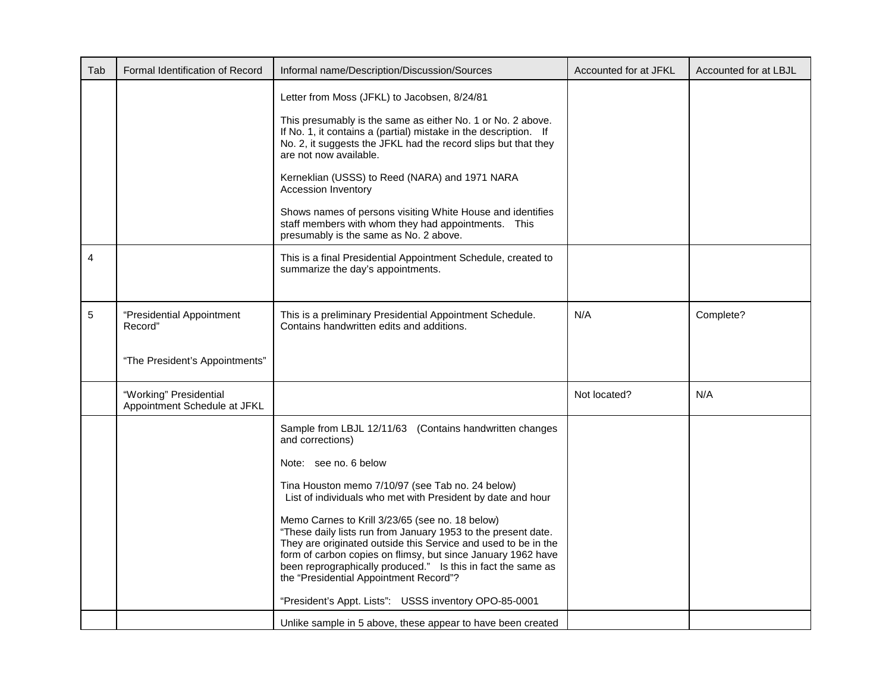| Tab | Informal name/Description/Discussion/Sources<br>Formal Identification of Record |                                                                                                                                                                                                                                                                                                                                                                                                                                                                                                                                                                                                                                                                                                                 | Accounted for at JFKL | Accounted for at LBJL |
|-----|---------------------------------------------------------------------------------|-----------------------------------------------------------------------------------------------------------------------------------------------------------------------------------------------------------------------------------------------------------------------------------------------------------------------------------------------------------------------------------------------------------------------------------------------------------------------------------------------------------------------------------------------------------------------------------------------------------------------------------------------------------------------------------------------------------------|-----------------------|-----------------------|
|     |                                                                                 | Letter from Moss (JFKL) to Jacobsen, 8/24/81<br>This presumably is the same as either No. 1 or No. 2 above.<br>If No. 1, it contains a (partial) mistake in the description. If<br>No. 2, it suggests the JFKL had the record slips but that they<br>are not now available.<br>Kerneklian (USSS) to Reed (NARA) and 1971 NARA<br>Accession Inventory<br>Shows names of persons visiting White House and identifies<br>staff members with whom they had appointments. This<br>presumably is the same as No. 2 above.                                                                                                                                                                                             |                       |                       |
| 4   |                                                                                 | This is a final Presidential Appointment Schedule, created to<br>summarize the day's appointments.                                                                                                                                                                                                                                                                                                                                                                                                                                                                                                                                                                                                              |                       |                       |
| 5   | "Presidential Appointment<br>Record"<br>"The President's Appointments"          | This is a preliminary Presidential Appointment Schedule.<br>Contains handwritten edits and additions.                                                                                                                                                                                                                                                                                                                                                                                                                                                                                                                                                                                                           | N/A                   | Complete?             |
|     | "Working" Presidential<br>Appointment Schedule at JFKL                          |                                                                                                                                                                                                                                                                                                                                                                                                                                                                                                                                                                                                                                                                                                                 | Not located?          | N/A                   |
|     |                                                                                 | Sample from LBJL 12/11/63 (Contains handwritten changes<br>and corrections)<br>Note: see no. 6 below<br>Tina Houston memo 7/10/97 (see Tab no. 24 below)<br>List of individuals who met with President by date and hour<br>Memo Carnes to Krill 3/23/65 (see no. 18 below)<br>"These daily lists run from January 1953 to the present date.<br>They are originated outside this Service and used to be in the<br>form of carbon copies on flimsy, but since January 1962 have<br>been reprographically produced." Is this in fact the same as<br>the "Presidential Appointment Record"?<br>"President's Appt. Lists": USSS inventory OPO-85-0001<br>Unlike sample in 5 above, these appear to have been created |                       |                       |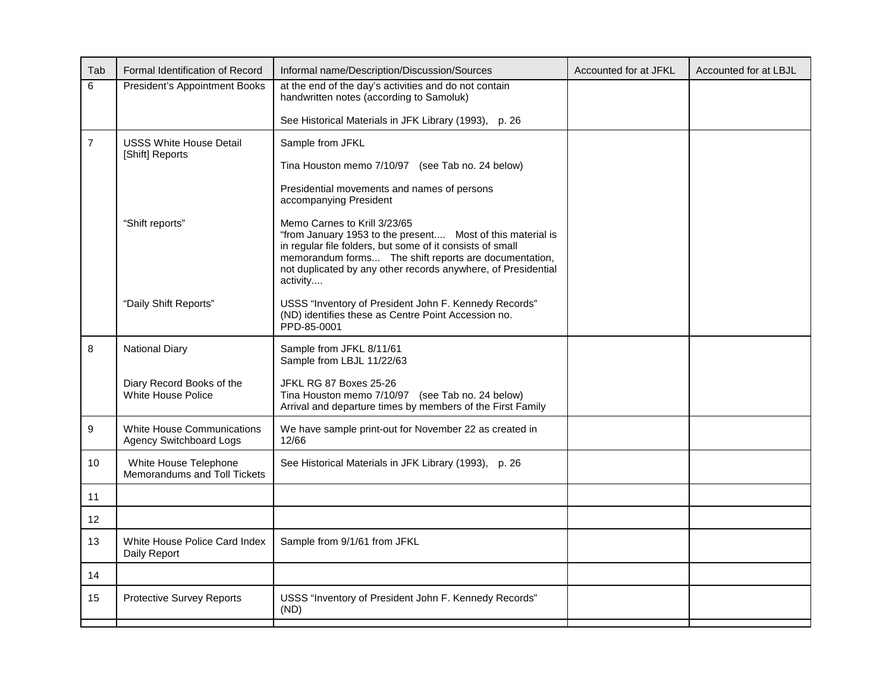| Tab             | Formal Identification of Record                                                                                                    | Informal name/Description/Discussion/Sources                                                                                                                                                                                                                                                  | Accounted for at JFKL | Accounted for at LBJL |
|-----------------|------------------------------------------------------------------------------------------------------------------------------------|-----------------------------------------------------------------------------------------------------------------------------------------------------------------------------------------------------------------------------------------------------------------------------------------------|-----------------------|-----------------------|
| 6               | at the end of the day's activities and do not contain<br>President's Appointment Books<br>handwritten notes (according to Samoluk) |                                                                                                                                                                                                                                                                                               |                       |                       |
|                 |                                                                                                                                    | See Historical Materials in JFK Library (1993), p. 26                                                                                                                                                                                                                                         |                       |                       |
| $\overline{7}$  | <b>USSS White House Detail</b>                                                                                                     | Sample from JFKL                                                                                                                                                                                                                                                                              |                       |                       |
|                 | [Shift] Reports                                                                                                                    | Tina Houston memo 7/10/97 (see Tab no. 24 below)                                                                                                                                                                                                                                              |                       |                       |
|                 |                                                                                                                                    | Presidential movements and names of persons<br>accompanying President                                                                                                                                                                                                                         |                       |                       |
|                 | "Shift reports"                                                                                                                    | Memo Carnes to Krill 3/23/65<br>"from January 1953 to the present Most of this material is<br>in regular file folders, but some of it consists of small<br>memorandum forms The shift reports are documentation,<br>not duplicated by any other records anywhere, of Presidential<br>activity |                       |                       |
|                 | "Daily Shift Reports"                                                                                                              | USSS "Inventory of President John F. Kennedy Records"<br>(ND) identifies these as Centre Point Accession no.<br>PPD-85-0001                                                                                                                                                                   |                       |                       |
| 8               | <b>National Diary</b>                                                                                                              | Sample from JFKL 8/11/61<br>Sample from LBJL 11/22/63                                                                                                                                                                                                                                         |                       |                       |
|                 | Diary Record Books of the<br>White House Police                                                                                    | JFKL RG 87 Boxes 25-26<br>Tina Houston memo 7/10/97 (see Tab no. 24 below)<br>Arrival and departure times by members of the First Family                                                                                                                                                      |                       |                       |
| 9               | <b>White House Communications</b><br><b>Agency Switchboard Logs</b>                                                                | We have sample print-out for November 22 as created in<br>12/66                                                                                                                                                                                                                               |                       |                       |
| 10              | White House Telephone<br>Memorandums and Toll Tickets                                                                              | See Historical Materials in JFK Library (1993), p. 26                                                                                                                                                                                                                                         |                       |                       |
| 11              |                                                                                                                                    |                                                                                                                                                                                                                                                                                               |                       |                       |
| 12 <sup>2</sup> |                                                                                                                                    |                                                                                                                                                                                                                                                                                               |                       |                       |
| 13              | White House Police Card Index<br>Daily Report                                                                                      | Sample from 9/1/61 from JFKL                                                                                                                                                                                                                                                                  |                       |                       |
| 14              |                                                                                                                                    |                                                                                                                                                                                                                                                                                               |                       |                       |
| 15              | <b>Protective Survey Reports</b>                                                                                                   | USSS "Inventory of President John F. Kennedy Records"<br>(ND)                                                                                                                                                                                                                                 |                       |                       |
|                 |                                                                                                                                    |                                                                                                                                                                                                                                                                                               |                       |                       |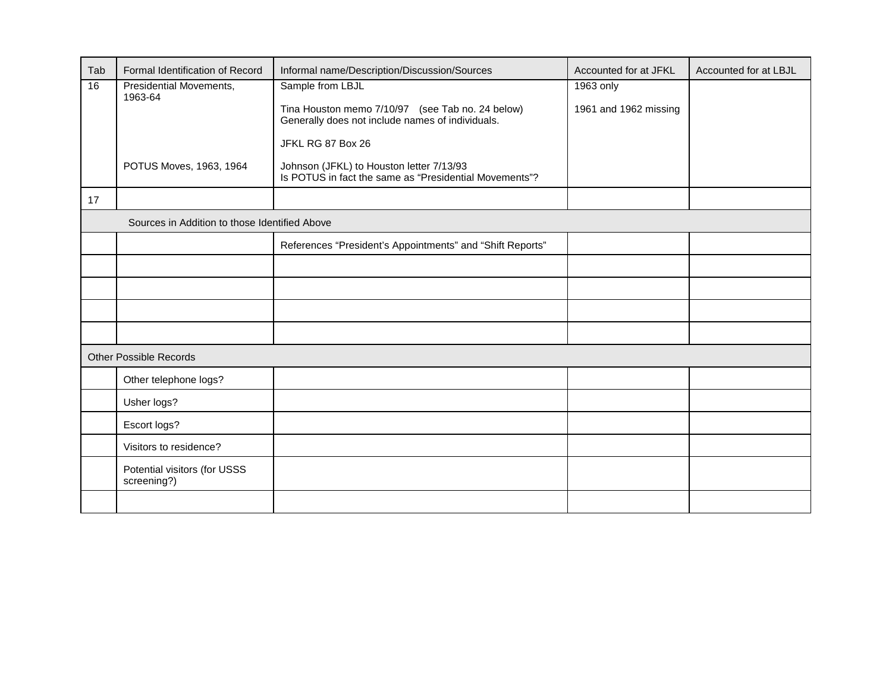| Tab<br>Formal Identification of Record |                                               | Informal name/Description/Discussion/Sources                                                         | Accounted for at JFKL | Accounted for at LBJL |
|----------------------------------------|-----------------------------------------------|------------------------------------------------------------------------------------------------------|-----------------------|-----------------------|
| 16                                     | Presidential Movements,<br>1963-64            | Sample from LBJL                                                                                     | 1963 only             |                       |
|                                        |                                               | Tina Houston memo 7/10/97 (see Tab no. 24 below)<br>Generally does not include names of individuals. | 1961 and 1962 missing |                       |
|                                        |                                               |                                                                                                      |                       |                       |
|                                        |                                               | JFKL RG 87 Box 26                                                                                    |                       |                       |
|                                        | POTUS Moves, 1963, 1964                       | Johnson (JFKL) to Houston letter 7/13/93<br>Is POTUS in fact the same as "Presidential Movements"?   |                       |                       |
| 17                                     |                                               |                                                                                                      |                       |                       |
|                                        | Sources in Addition to those Identified Above |                                                                                                      |                       |                       |
|                                        |                                               | References "President's Appointments" and "Shift Reports"                                            |                       |                       |
|                                        |                                               |                                                                                                      |                       |                       |
|                                        |                                               |                                                                                                      |                       |                       |
|                                        |                                               |                                                                                                      |                       |                       |
|                                        |                                               |                                                                                                      |                       |                       |
| <b>Other Possible Records</b>          |                                               |                                                                                                      |                       |                       |
|                                        | Other telephone logs?                         |                                                                                                      |                       |                       |
|                                        | Usher logs?                                   |                                                                                                      |                       |                       |
|                                        | Escort logs?                                  |                                                                                                      |                       |                       |
|                                        | Visitors to residence?                        |                                                                                                      |                       |                       |
|                                        | Potential visitors (for USSS<br>screening?)   |                                                                                                      |                       |                       |
|                                        |                                               |                                                                                                      |                       |                       |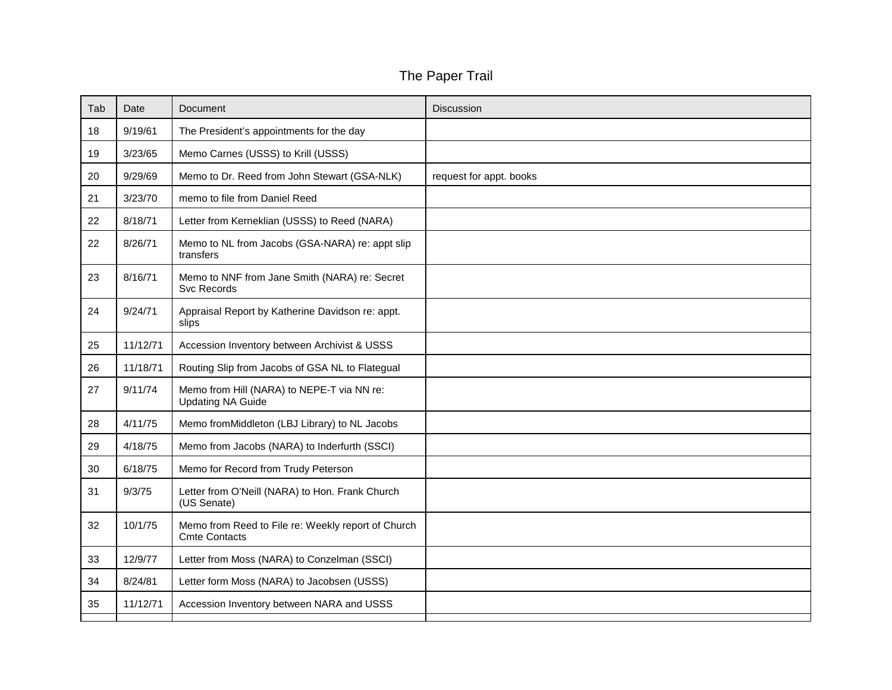## The Paper Trail

| Tab | Date     | Document                                                                   | Discussion              |
|-----|----------|----------------------------------------------------------------------------|-------------------------|
| 18  | 9/19/61  | The President's appointments for the day                                   |                         |
| 19  | 3/23/65  | Memo Carnes (USSS) to Krill (USSS)                                         |                         |
| 20  | 9/29/69  | Memo to Dr. Reed from John Stewart (GSA-NLK)                               | request for appt. books |
| 21  | 3/23/70  | memo to file from Daniel Reed                                              |                         |
| 22  | 8/18/71  | Letter from Kerneklian (USSS) to Reed (NARA)                               |                         |
| 22  | 8/26/71  | Memo to NL from Jacobs (GSA-NARA) re: appt slip<br>transfers               |                         |
| 23  | 8/16/71  | Memo to NNF from Jane Smith (NARA) re: Secret<br>Svc Records               |                         |
| 24  | 9/24/71  | Appraisal Report by Katherine Davidson re: appt.<br>slips                  |                         |
| 25  | 11/12/71 | Accession Inventory between Archivist & USSS                               |                         |
| 26  | 11/18/71 | Routing Slip from Jacobs of GSA NL to Flategual                            |                         |
| 27  | 9/11/74  | Memo from Hill (NARA) to NEPE-T via NN re:<br><b>Updating NA Guide</b>     |                         |
| 28  | 4/11/75  | Memo fromMiddleton (LBJ Library) to NL Jacobs                              |                         |
| 29  | 4/18/75  | Memo from Jacobs (NARA) to Inderfurth (SSCI)                               |                         |
| 30  | 6/18/75  | Memo for Record from Trudy Peterson                                        |                         |
| 31  | 9/3/75   | Letter from O'Neill (NARA) to Hon. Frank Church<br>(US Senate)             |                         |
| 32  | 10/1/75  | Memo from Reed to File re: Weekly report of Church<br><b>Cmte Contacts</b> |                         |
| 33  | 12/9/77  | Letter from Moss (NARA) to Conzelman (SSCI)                                |                         |
| 34  | 8/24/81  | Letter form Moss (NARA) to Jacobsen (USSS)                                 |                         |
| 35  | 11/12/71 | Accession Inventory between NARA and USSS                                  |                         |
|     |          |                                                                            |                         |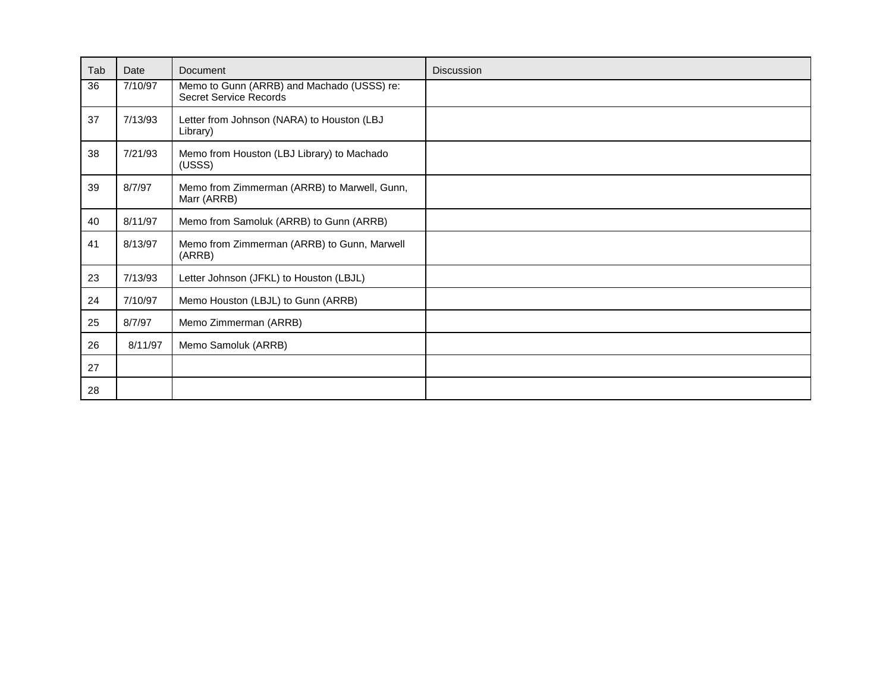| Tab | Date    | Document                                                                    | <b>Discussion</b> |
|-----|---------|-----------------------------------------------------------------------------|-------------------|
| 36  | 7/10/97 | Memo to Gunn (ARRB) and Machado (USSS) re:<br><b>Secret Service Records</b> |                   |
| 37  | 7/13/93 | Letter from Johnson (NARA) to Houston (LBJ<br>Library)                      |                   |
| 38  | 7/21/93 | Memo from Houston (LBJ Library) to Machado<br>(USSS)                        |                   |
| 39  | 8/7/97  | Memo from Zimmerman (ARRB) to Marwell, Gunn,<br>Marr (ARRB)                 |                   |
| 40  | 8/11/97 | Memo from Samoluk (ARRB) to Gunn (ARRB)                                     |                   |
| 41  | 8/13/97 | Memo from Zimmerman (ARRB) to Gunn, Marwell<br>(ARRB)                       |                   |
| 23  | 7/13/93 | Letter Johnson (JFKL) to Houston (LBJL)                                     |                   |
| 24  | 7/10/97 | Memo Houston (LBJL) to Gunn (ARRB)                                          |                   |
| 25  | 8/7/97  | Memo Zimmerman (ARRB)                                                       |                   |
| 26  | 8/11/97 | Memo Samoluk (ARRB)                                                         |                   |
| 27  |         |                                                                             |                   |
| 28  |         |                                                                             |                   |